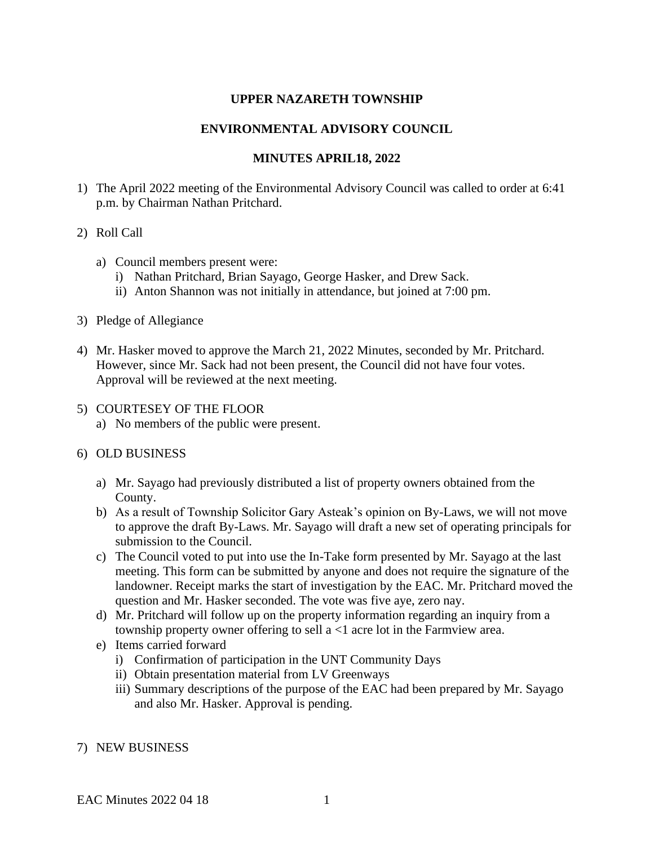# **UPPER NAZARETH TOWNSHIP**

# **ENVIRONMENTAL ADVISORY COUNCIL**

# **MINUTES APRIL18, 2022**

1) The April 2022 meeting of the Environmental Advisory Council was called to order at 6:41 p.m. by Chairman Nathan Pritchard.

### 2) Roll Call

- a) Council members present were:
	- i) Nathan Pritchard, Brian Sayago, George Hasker, and Drew Sack.
	- ii) Anton Shannon was not initially in attendance, but joined at 7:00 pm.
- 3) Pledge of Allegiance
- 4) Mr. Hasker moved to approve the March 21, 2022 Minutes, seconded by Mr. Pritchard. However, since Mr. Sack had not been present, the Council did not have four votes. Approval will be reviewed at the next meeting.
- 5) COURTESEY OF THE FLOOR
	- a) No members of the public were present.

### 6) OLD BUSINESS

- a) Mr. Sayago had previously distributed a list of property owners obtained from the County.
- b) As a result of Township Solicitor Gary Asteak's opinion on By-Laws, we will not move to approve the draft By-Laws. Mr. Sayago will draft a new set of operating principals for submission to the Council.
- c) The Council voted to put into use the In-Take form presented by Mr. Sayago at the last meeting. This form can be submitted by anyone and does not require the signature of the landowner. Receipt marks the start of investigation by the EAC. Mr. Pritchard moved the question and Mr. Hasker seconded. The vote was five aye, zero nay.
- d) Mr. Pritchard will follow up on the property information regarding an inquiry from a township property owner offering to sell a <1 acre lot in the Farmview area.
- e) Items carried forward
	- i) Confirmation of participation in the UNT Community Days
	- ii) Obtain presentation material from LV Greenways
	- iii) Summary descriptions of the purpose of the EAC had been prepared by Mr. Sayago and also Mr. Hasker. Approval is pending.
- 7) NEW BUSINESS